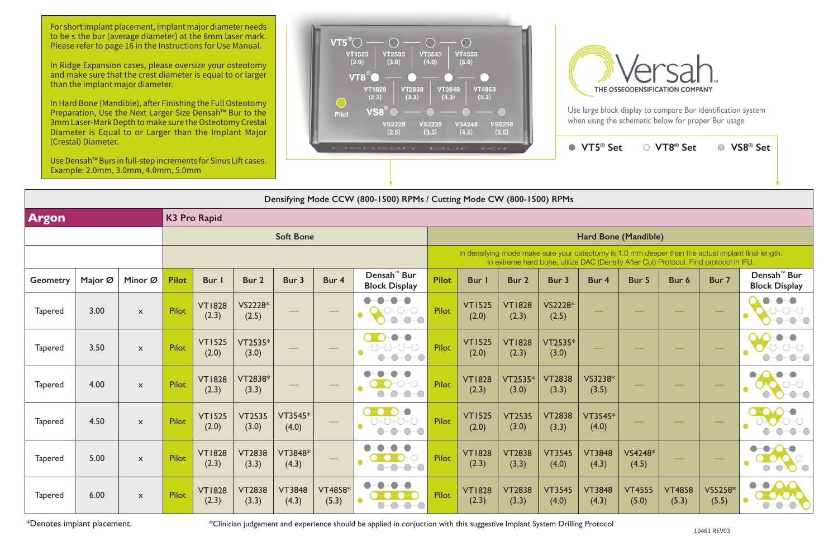|                                     | Densifying Mode CCW (800-1500) RPMs / Cutting Mode CW (800-1500) RPMs |                           |                  |                        |                        |                        |                         |                                                                                                        |              |                                                                                                                                                                                             |                        |                        |                             |                        |                        |                                   |                                                 |  |
|-------------------------------------|-----------------------------------------------------------------------|---------------------------|------------------|------------------------|------------------------|------------------------|-------------------------|--------------------------------------------------------------------------------------------------------|--------------|---------------------------------------------------------------------------------------------------------------------------------------------------------------------------------------------|------------------------|------------------------|-----------------------------|------------------------|------------------------|-----------------------------------|-------------------------------------------------|--|
| <b>Argon</b><br><b>K3 Pro Rapid</b> |                                                                       |                           |                  |                        |                        |                        |                         |                                                                                                        |              |                                                                                                                                                                                             |                        |                        |                             |                        |                        |                                   |                                                 |  |
|                                     |                                                                       |                           | <b>Soft Bone</b> |                        |                        |                        |                         |                                                                                                        |              |                                                                                                                                                                                             |                        |                        | <b>Hard Bone (Mandible)</b> |                        |                        |                                   |                                                 |  |
|                                     |                                                                       |                           |                  |                        |                        |                        |                         |                                                                                                        |              | In densifying mode make sure your osteotomy is 1.0 mm deeper than the actual implant final length.<br>In extreme hard bone, utilize DAC (Densify After Cut) Protocol. Find protocol in IFU. |                        |                        |                             |                        |                        |                                   |                                                 |  |
| Geometry                            | Major Ø                                                               | Minor Ø                   | <b>Pilot</b>     | Bur                    | Bur 2                  | Bur 3                  | Bur 4                   | Densah <sup>™</sup> Bur<br><b>Block Display</b>                                                        | <b>Pilot</b> | Bur I                                                                                                                                                                                       | Bur 2                  | Bur 3                  | Bur 4                       | Bur 5                  | Bur 6                  | Bur 7                             | Densah <sup>™</sup> Bur<br><b>Block Display</b> |  |
| <b>Tapered</b>                      | 3.00                                                                  | $\mathsf{x}$              | <b>Pilot</b>     | <b>VT1828</b><br>(2.3) | VS2228*<br>(2.5)       |                        |                         | $\bullet$<br>$-O$ -O<br>$\bullet$<br>$O-O-O$                                                           | <b>Pilot</b> | <b>VT1525</b><br>(2.0)                                                                                                                                                                      | <b>VT1828</b><br>(2.3) | VS2228*<br>(2.5)       |                             |                        |                        | $\overline{\phantom{0}}$          | $\bullet - \bullet$<br>$\bigcirc$               |  |
| <b>Tapered</b>                      | 3.50                                                                  | $\mathsf{x}$              | Pilot            | <b>VT1525</b><br>(2.0) | $VT2535*$<br>(3.0)     |                        | $\hspace{0.05cm}$       | $\bullet - \bullet$<br>$O-O-O-O$<br>$\bullet$<br>$-O$ - $O$<br>$-\bigcirc$                             | <b>Pilot</b> | <b>VT1525</b><br>(2.0)                                                                                                                                                                      | <b>VT1828</b><br>(2.3) | VT2535*<br>(3.0)       |                             |                        |                        |                                   |                                                 |  |
| <b>Tapered</b>                      | 4.00                                                                  | $\boldsymbol{\mathsf{x}}$ | <b>Pilot</b>     | <b>VT1828</b><br>(2.3) | VT2838*<br>(3.3)       |                        | $\qquad \qquad$         | $\bigcap -\bigcap$                                                                                     | <b>Pilot</b> | <b>VT1828</b><br>(2.3)                                                                                                                                                                      | VT2535*<br>(3.0)       | <b>VT2838</b><br>(3.3) | VS3238*<br>(3.5)            |                        |                        | $\hspace{1.0cm} \overbrace{ }^{}$ |                                                 |  |
| <b>Tapered</b>                      | 4.50                                                                  | $\mathsf{x}$              | Pilot            | <b>VT1525</b><br>(2.0) | <b>VT2535</b><br>(3.0) | $VT3545*$<br>(4.0)     |                         | $\bullet$ $\bullet$ $\bullet$<br>$O-O-O-O$<br>$\bullet$<br>$ \bigcirc$ $ \bigcirc$<br>$-\bigcirc$<br>◯ | <b>Pilot</b> | <b>VT1525</b><br>(2.0)                                                                                                                                                                      | <b>VT2535</b><br>(3.0) | <b>VT2838</b><br>(3.3) | VT3545*<br>(4.0)            |                        |                        |                                   |                                                 |  |
| <b>Tapered</b>                      | 5.00                                                                  | $\boldsymbol{\mathsf{x}}$ | Pilot            | <b>VT1828</b><br>(2.3) | <b>VT2838</b><br>(3.3) | VT3848*<br>(4.3)       |                         | $\bigcirc$ - $\bigcirc$                                                                                | <b>Pilot</b> | <b>VT1828</b><br>(2.3)                                                                                                                                                                      | <b>VT2838</b><br>(3.3) | <b>VT3545</b><br>(4.0) | <b>VT3848</b><br>(4.3)      | VS4248*<br>(4.5)       |                        |                                   | $\bigcirc$<br>$\bigcirc$                        |  |
| <b>Tapered</b>                      | 6.00                                                                  | $\boldsymbol{\mathsf{x}}$ | Pilot            | <b>VT1828</b><br>(2.3) | <b>VT2838</b><br>(3.3) | <b>VT3848</b><br>(4.3) | <b>VT4858*</b><br>(5.3) |                                                                                                        | <b>Pilot</b> | <b>VT1828</b><br>(2.3)                                                                                                                                                                      | <b>VT2838</b><br>(3.3) | <b>VT3545</b><br>(4.0) | <b>VT3848</b><br>(4.3)      | <b>VT4555</b><br>(5.0) | <b>VT4858</b><br>(5.3) | VS5258*<br>(5.5)                  | $\bullet - \bullet$                             |  |

Use large block display to compare Bur identification system when using the schematic below for proper Bur usage

● VT5<sup>®</sup> Se

| $1 - 11$                                                                                                                                                                                    |                         |                        | $VT5^{\circledast}$ Set |                        | $\circ$ VT8 <sup>®</sup> Set |                  | VS8 <sup>®</sup> Set                            |  |  |  |  |  |  |  |
|---------------------------------------------------------------------------------------------------------------------------------------------------------------------------------------------|-------------------------|------------------------|-------------------------|------------------------|------------------------------|------------------|-------------------------------------------------|--|--|--|--|--|--|--|
|                                                                                                                                                                                             |                         |                        |                         |                        |                              |                  |                                                 |  |  |  |  |  |  |  |
|                                                                                                                                                                                             | Mode CW (800-1500) RPMs |                        |                         |                        |                              |                  |                                                 |  |  |  |  |  |  |  |
|                                                                                                                                                                                             |                         |                        |                         |                        |                              |                  |                                                 |  |  |  |  |  |  |  |
| Hard Bone (Mandible)                                                                                                                                                                        |                         |                        |                         |                        |                              |                  |                                                 |  |  |  |  |  |  |  |
| In densifying mode make sure your osteotomy is 1.0 mm deeper than the actual implant final length.<br>In extreme hard bone, utilize DAC (Densify After Cut) Protocol. Find protocol in IFU. |                         |                        |                         |                        |                              |                  |                                                 |  |  |  |  |  |  |  |
| <b>Bur</b> I                                                                                                                                                                                | Bur 2                   | Bur 3                  | Bur <sub>4</sub>        | Bur 5                  | Bur 6                        | Bur 7            | Densah <sup>™</sup> Bur<br><b>Block Display</b> |  |  |  |  |  |  |  |
| <b>VT1525</b><br>(2.0)                                                                                                                                                                      | <b>VT1828</b><br>(2.3)  | VS2228*<br>(2.5)       |                         |                        |                              |                  |                                                 |  |  |  |  |  |  |  |
| <b>VT1525</b><br>(2.0)                                                                                                                                                                      | <b>VT1828</b><br>(2.3)  | VT2535*<br>(3.0)       |                         |                        |                              |                  |                                                 |  |  |  |  |  |  |  |
| <b>VT1828</b><br>(2.3)                                                                                                                                                                      | VT2535*<br>(3.0)        | <b>VT2838</b><br>(3.3) | VS3238*<br>(3.5)        |                        |                              |                  |                                                 |  |  |  |  |  |  |  |
| <b>VT1525</b><br>(2.0)                                                                                                                                                                      | <b>VT2535</b><br>(3.0)  | <b>VT2838</b><br>(3.3) | VT3545*<br>(4.0)        |                        |                              |                  |                                                 |  |  |  |  |  |  |  |
| <b>VT1828</b><br>(2.3)                                                                                                                                                                      | <b>VT2838</b><br>(3.3)  | <b>VT3545</b><br>(4.0) | <b>VT3848</b><br>(4.3)  | VS4248*<br>(4.5)       |                              |                  |                                                 |  |  |  |  |  |  |  |
| <b>VT1828</b><br>(2.3)                                                                                                                                                                      | <b>VT2838</b><br>(3.3)  | <b>VT3545</b><br>(4.0) | <b>VT3848</b><br>(4.3)  | <b>VT4555</b><br>(5.0) | <b>VT4858</b><br>(5.3)       | VS5258*<br>(5.5) |                                                 |  |  |  |  |  |  |  |

For short implant placement, implant major diameter needs to be ≤ the bur (average diameter) at the 8mm laser mark. Please refer to page 16 in the Instructions for Use Manual.

\*Denotes implant placement.

\*Clinician judgement and experience should be applied in conjuction with this suggestive Implant System Drilling Protocol

In Ridge Expansion cases, please oversize your osteotomy and make sure that the crest diameter is equal to or larger than the implant major diameter.

In Hard Bone (Mandible), after Finishing the Full Osteotomy Preparation, Use the Next Larger Size Densah™ Bur to the 3mm Laser-Mark Depth to make sure the Osteotomy Crestal Diameter is Equal to or Larger than the Implant Major (Crestal) Diameter.

Use Densah™ Burs in full-step increments for Sinus Lift cases. Example: 2.0mm, 3.0mm, 4.0mm, 5.0mm



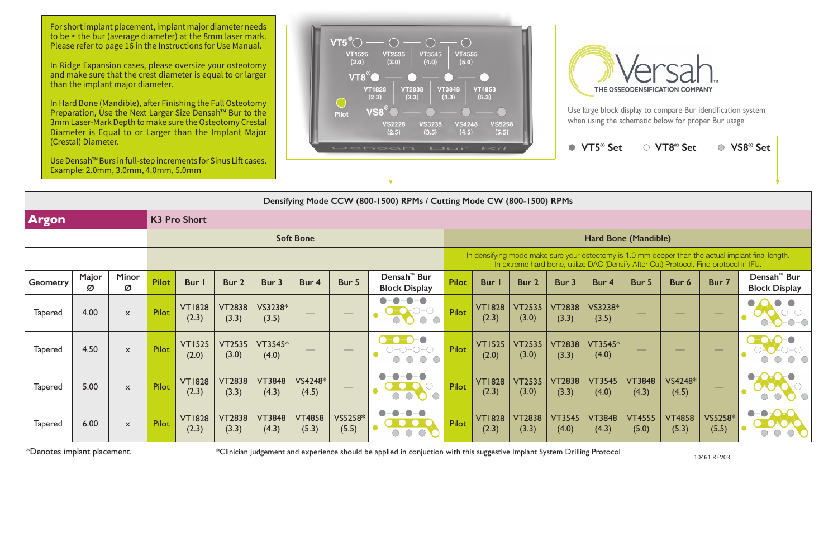| laichean Diamach.<br>Use Densah™ Burs in full-step increments for Sinus Lift cases. |            |                                     |              |                        |                        |                        |                        |                      | DONNSONT IBLIF                                                        |                                                                                                                                                                                             | $-1$                   |                        | $\bullet$              | VT5 <sup>®</sup> Set   |                        | ○ VT8 <sup>®</sup> Set | $\bigcirc$       | VS8 <sup>®</sup> Set                            |
|-------------------------------------------------------------------------------------|------------|-------------------------------------|--------------|------------------------|------------------------|------------------------|------------------------|----------------------|-----------------------------------------------------------------------|---------------------------------------------------------------------------------------------------------------------------------------------------------------------------------------------|------------------------|------------------------|------------------------|------------------------|------------------------|------------------------|------------------|-------------------------------------------------|
|                                                                                     |            | Example: 2.0mm, 3.0mm, 4.0mm, 5.0mm |              |                        |                        |                        |                        |                      |                                                                       |                                                                                                                                                                                             |                        |                        |                        |                        |                        |                        |                  |                                                 |
|                                                                                     |            |                                     |              |                        |                        |                        |                        |                      | Densifying Mode CCW (800-1500) RPMs / Cutting Mode CW (800-1500) RPMs |                                                                                                                                                                                             |                        |                        |                        |                        |                        |                        |                  |                                                 |
| <b>Argon</b>                                                                        |            |                                     |              | <b>K3 Pro Short</b>    |                        |                        |                        |                      |                                                                       |                                                                                                                                                                                             |                        |                        |                        |                        |                        |                        |                  |                                                 |
| <b>Soft Bone</b>                                                                    |            |                                     |              |                        |                        |                        |                        | Hard Bone (Mandible) |                                                                       |                                                                                                                                                                                             |                        |                        |                        |                        |                        |                        |                  |                                                 |
|                                                                                     |            |                                     |              |                        |                        |                        |                        |                      |                                                                       | In densifying mode make sure your osteotomy is 1.0 mm deeper than the actual implant final length.<br>In extreme hard bone, utilize DAC (Densify After Cut) Protocol. Find protocol in IFU. |                        |                        |                        |                        |                        |                        |                  |                                                 |
| <b>Geometry</b>                                                                     | Major<br>Ø | <b>Minor</b><br>Ø                   | <b>Pilot</b> | Bur I                  | Bur 2                  | Bur 3                  | Bur 4                  | Bur 5                | Densah <sup>™</sup> Bur<br><b>Block Display</b>                       | <b>Pilot</b>                                                                                                                                                                                | Bur                    | Bur 2                  | Bur 3                  | Bur 4                  | Bur 5                  | Bur 6                  | Bur 7            | Densah <sup>™</sup> Bur<br><b>Block Display</b> |
| <b>Tapered</b>                                                                      | 4.00       | $\boldsymbol{\mathsf{x}}$           | Pilot        | <b>VT1828</b><br>(2.3) | <b>VT2838</b><br>(3.3) | VS3238*<br>(3.5)       |                        |                      | $\circ$ $\bullet$<br>$-O - O$                                         | <b>Pilot</b>                                                                                                                                                                                | <b>VT1828</b><br>(2.3) | <b>VT2535</b><br>(3.0) | <b>VT2838</b><br>(3.3) | VS3238*<br>(3.5)       |                        |                        |                  |                                                 |
| <b>Tapered</b>                                                                      | 4.50       | $\boldsymbol{\mathsf{x}}$           | Pilot        | <b>VT1525</b><br>(2.0) | <b>VT2535</b><br>(3.0) | VT3545*<br>(4.0)       |                        |                      | $\neg$<br>$\bigcirc$                                                  | <b>Pilot</b>                                                                                                                                                                                | <b>VT1525</b><br>(2.0) | <b>VT2535</b><br>(3.0) | <b>VT2838</b><br>(3.3) | VT3545*<br>(4.0)       |                        |                        |                  |                                                 |
| Tapered                                                                             | 5.00       | $\mathsf{x}$                        | Pilot        | <b>VT1828</b><br>(2.3) | <b>VT2838</b><br>(3.3) | <b>VT3848</b><br>(4.3) | VS4248*<br>(4.5)       |                      | $\bigcirc$<br>$\bigcirc$<br>$-\bigcirc$                               | <b>Pilot</b>                                                                                                                                                                                | <b>VT1828</b><br>(2.3) | <b>VT2535</b><br>(3.0) | <b>VT2838</b><br>(3.3) | <b>VT3545</b><br>(4.0) | <b>VT3848</b><br>(4.3) | VS4248*<br>(4.5)       |                  | $\bigcirc$<br>○                                 |
| <b>Tapered</b>                                                                      | 6.00       | $\boldsymbol{\mathsf{x}}$           | Pilot        | <b>VT1828</b><br>(2.3) | <b>VT2838</b><br>(3.3) | <b>VT3848</b><br>(4.3) | <b>VT4858</b><br>(5.3) | VS5258*<br>(5.5)     |                                                                       | Pilot                                                                                                                                                                                       | <b>VT1828</b><br>(2.3) | <b>VT2838</b><br>(3.3) | <b>VT3545</b><br>(4.0) | <b>VT3848</b><br>(4.3) | <b>VT4555</b><br>(5.0) | <b>VT4858</b><br>(5.3) | VS5258*<br>(5.5) | $\bullet$<br>$\bullet$                          |

\*Denotes implant placement.

Use large block display to compare Bur identification system when using the schematic below for proper Bur usage

10461 REV03 \*Clinician judgement and experience should be applied in conjuction with this suggestive Implant System Drilling Protocol

For short implant placement, implant major diameter needs to be ≤ the bur (average diameter) at the 8mm laser mark. Please refer to page 16 in the Instructions for Use Manual.

In Ridge Expansion cases, please oversize your osteotomy and make sure that the crest diameter is equal to or larger than the implant major diameter.

In Hard Bone (Mandible), after Finishing the Full Osteotomy Preparation, Use the Next Larger Size Densah™ Bur to the 3mm Laser-Mark Depth to make sure the Osteotomy Crestal Diameter is Equal to or Larger than the Implant Major (Crestal) Diameter.